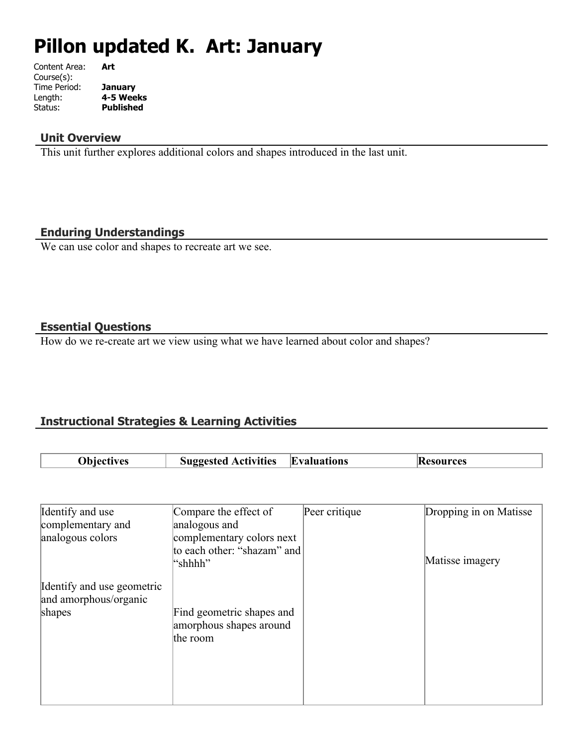# **Pillon updated K. Art: January**

| Content Area: | Art              |
|---------------|------------------|
| Course(s):    |                  |
| Time Period:  | <b>January</b>   |
| Length:       | 4-5 Weeks        |
| Status:       | <b>Published</b> |
|               |                  |

#### **Unit Overview**

This unit further explores additional colors and shapes introduced in the last unit.

#### **Enduring Understandings**

We can use color and shapes to recreate art we see.

#### **Essential Questions**

How do we re-create art we view using what we have learned about color and shapes?

# **Instructional Strategies & Learning Activities**

| Nhiecti<br>iectives | $\sim$ $\sim$<br><b>Activities</b><br>Suggested - | <b>Evaluations</b> | ırces |
|---------------------|---------------------------------------------------|--------------------|-------|

| Identify and use           | Compare the effect of                                | Peer critique | Dropping in on Matisse |
|----------------------------|------------------------------------------------------|---------------|------------------------|
| complementary and          | analogous and                                        |               |                        |
| analogous colors           | complementary colors next                            |               |                        |
|                            | to each other: "shazam" and<br>"shhhh"               |               | Matisse imagery        |
| Identify and use geometric |                                                      |               |                        |
| and amorphous/organic      |                                                      |               |                        |
| shapes                     | Find geometric shapes and<br>amorphous shapes around |               |                        |
|                            | the room                                             |               |                        |
|                            |                                                      |               |                        |
|                            |                                                      |               |                        |
|                            |                                                      |               |                        |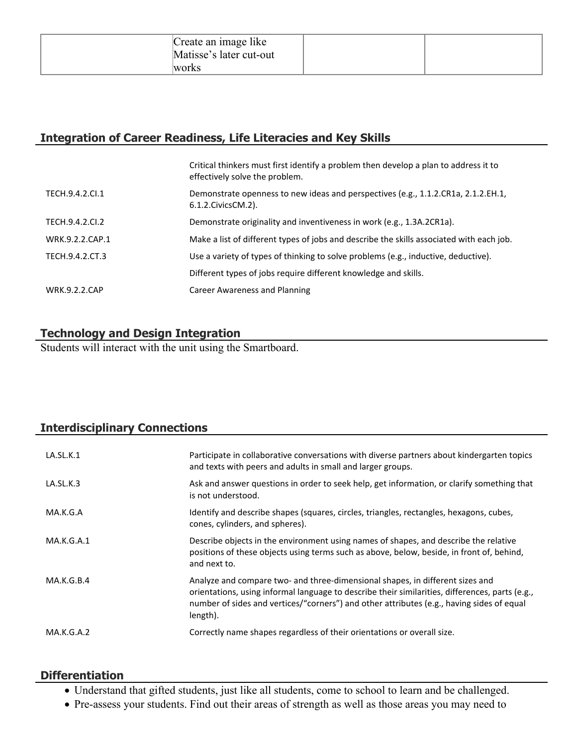| Create an image like    |  |
|-------------------------|--|
| Matisse's later cut-out |  |
| works                   |  |

# **Integration of Career Readiness, Life Literacies and Key Skills**

|                      | Critical thinkers must first identify a problem then develop a plan to address it to<br>effectively solve the problem. |
|----------------------|------------------------------------------------------------------------------------------------------------------------|
| TECH.9.4.2.CI.1      | Demonstrate openness to new ideas and perspectives (e.g., 1.1.2.CR1a, 2.1.2.EH.1,<br>6.1.2. Civics CM. 2).             |
| TECH.9.4.2.CI.2      | Demonstrate originality and inventiveness in work (e.g., 1.3A.2CR1a).                                                  |
| WRK.9.2.2.CAP.1      | Make a list of different types of jobs and describe the skills associated with each job.                               |
| TECH.9.4.2.CT.3      | Use a variety of types of thinking to solve problems (e.g., inductive, deductive).                                     |
|                      | Different types of jobs require different knowledge and skills.                                                        |
| <b>WRK.9.2.2.CAP</b> | Career Awareness and Planning                                                                                          |

# **Technology and Design Integration**

Students will interact with the unit using the Smartboard.

# **Interdisciplinary Connections**

| LA.SL.K.1  | Participate in collaborative conversations with diverse partners about kindergarten topics<br>and texts with peers and adults in small and larger groups.                                                                                                                                 |
|------------|-------------------------------------------------------------------------------------------------------------------------------------------------------------------------------------------------------------------------------------------------------------------------------------------|
| LA.SL.K.3  | Ask and answer questions in order to seek help, get information, or clarify something that<br>is not understood.                                                                                                                                                                          |
| MA.K.G.A   | Identify and describe shapes (squares, circles, triangles, rectangles, hexagons, cubes,<br>cones, cylinders, and spheres).                                                                                                                                                                |
| MA.K.G.A.1 | Describe objects in the environment using names of shapes, and describe the relative<br>positions of these objects using terms such as above, below, beside, in front of, behind,<br>and next to.                                                                                         |
| MA.K.G.B.4 | Analyze and compare two- and three-dimensional shapes, in different sizes and<br>orientations, using informal language to describe their similarities, differences, parts (e.g.,<br>number of sides and vertices/"corners") and other attributes (e.g., having sides of equal<br>length). |
| MA.K.G.A.2 | Correctly name shapes regardless of their orientations or overall size.                                                                                                                                                                                                                   |

#### **Differentiation**

- Understand that gifted students, just like all students, come to school to learn and be challenged.
- Pre-assess your students. Find out their areas of strength as well as those areas you may need to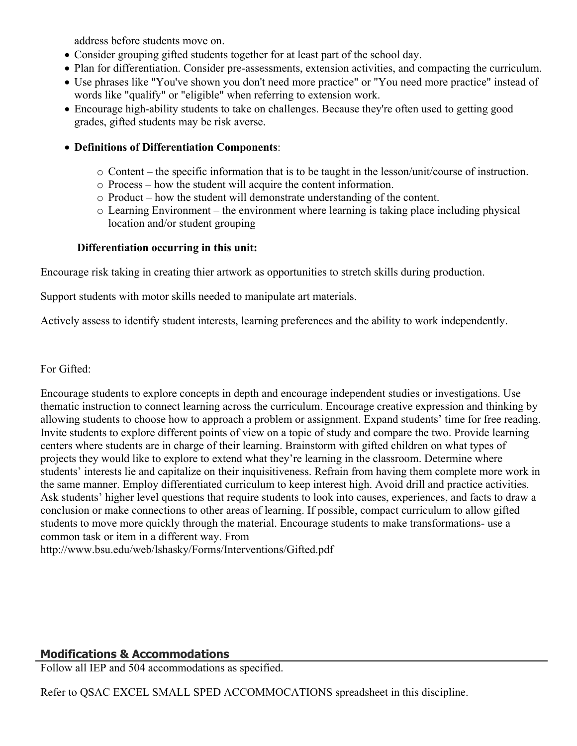address before students move on.

- Consider grouping gifted students together for at least part of the school day.
- Plan for differentiation. Consider pre-assessments, extension activities, and compacting the curriculum.
- Use phrases like "You've shown you don't need more practice" or "You need more practice" instead of words like "qualify" or "eligible" when referring to extension work.
- Encourage high-ability students to take on challenges. Because they're often used to getting good grades, gifted students may be risk averse.

#### **Definitions of Differentiation Components**:

- o Content the specific information that is to be taught in the lesson/unit/course of instruction.
- o Process how the student will acquire the content information.
- o Product how the student will demonstrate understanding of the content.
- o Learning Environment the environment where learning is taking place including physical location and/or student grouping

#### **Differentiation occurring in this unit:**

Encourage risk taking in creating thier artwork as opportunities to stretch skills during production.

Support students with motor skills needed to manipulate art materials.

Actively assess to identify student interests, learning preferences and the ability to work independently.

For Gifted:

Encourage students to explore concepts in depth and encourage independent studies or investigations. Use thematic instruction to connect learning across the curriculum. Encourage creative expression and thinking by allowing students to choose how to approach a problem or assignment. Expand students' time for free reading. Invite students to explore different points of view on a topic of study and compare the two. Provide learning centers where students are in charge of their learning. Brainstorm with gifted children on what types of projects they would like to explore to extend what they're learning in the classroom. Determine where students' interests lie and capitalize on their inquisitiveness. Refrain from having them complete more work in the same manner. Employ differentiated curriculum to keep interest high. Avoid drill and practice activities. Ask students' higher level questions that require students to look into causes, experiences, and facts to draw a conclusion or make connections to other areas of learning. If possible, compact curriculum to allow gifted students to move more quickly through the material. Encourage students to make transformations- use a common task or item in a different way. From http://www.bsu.edu/web/lshasky/Forms/Interventions/Gifted.pdf

# **Modifications & Accommodations**

Follow all IEP and 504 accommodations as specified.

Refer to QSAC EXCEL SMALL SPED ACCOMMOCATIONS spreadsheet in this discipline.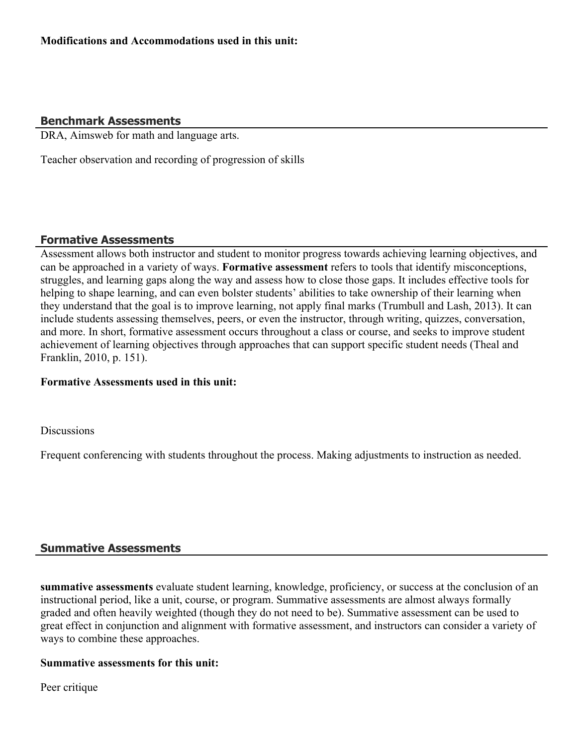# **Benchmark Assessments**

DRA, Aimsweb for math and language arts.

Teacher observation and recording of progression of skills

#### **Formative Assessments**

Assessment allows both instructor and student to monitor progress towards achieving learning objectives, and can be approached in a variety of ways. **Formative assessment** refers to tools that identify misconceptions, struggles, and learning gaps along the way and assess how to close those gaps. It includes effective tools for helping to shape learning, and can even bolster students' abilities to take ownership of their learning when they understand that the goal is to improve learning, not apply final marks (Trumbull and Lash, 2013). It can include students assessing themselves, peers, or even the instructor, through writing, quizzes, conversation, and more. In short, formative assessment occurs throughout a class or course, and seeks to improve student achievement of learning objectives through approaches that can support specific student needs (Theal and Franklin, 2010, p. 151).

#### **Formative Assessments used in this unit:**

**Discussions** 

Frequent conferencing with students throughout the process. Making adjustments to instruction as needed.

# **Summative Assessments**

**summative assessments** evaluate student learning, knowledge, proficiency, or success at the conclusion of an instructional period, like a unit, course, or program. Summative assessments are almost always formally graded and often heavily weighted (though they do not need to be). Summative assessment can be used to great effect in conjunction and alignment with formative assessment, and instructors can consider a variety of ways to combine these approaches.

#### **Summative assessments for this unit:**

Peer critique